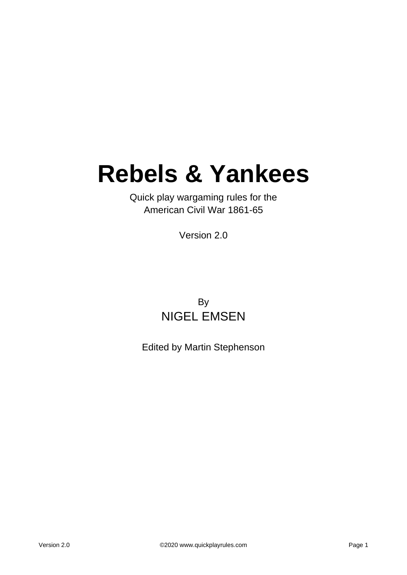# **Rebels & Yankees**

Quick play wargaming rules for the American Civil War 1861-65

Version 2.0

### By NIGEL EMSEN

Edited by Martin Stephenson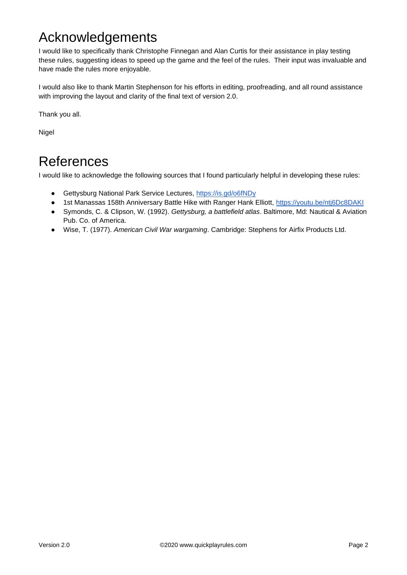# Acknowledgements

I would like to specifically thank Christophe Finnegan and Alan Curtis for their assistance in play testing these rules, suggesting ideas to speed up the game and the feel of the rules. Their input was invaluable and have made the rules more enjoyable.

I would also like to thank Martin Stephenson for his efforts in editing, proofreading, and all round assistance with improving the layout and clarity of the final text of version 2.0.

Thank you all.

Nigel

## References

I would like to acknowledge the following sources that I found particularly helpful in developing these rules:

- Gettysburg National Park Service Lectures,<https://is.gd/o6fNDy>
- 1st Manassas 158th Anniversary Battle Hike with Ranger Hank Elliott,<https://youtu.be/ntj6Dc8DAKI>
- Symonds, C. & Clipson, W. (1992). *Gettysburg, a battlefield atlas*. Baltimore, Md: Nautical & Aviation Pub. Co. of America.
- Wise, T. (1977). *American Civil War wargaming*. Cambridge: Stephens for Airfix Products Ltd.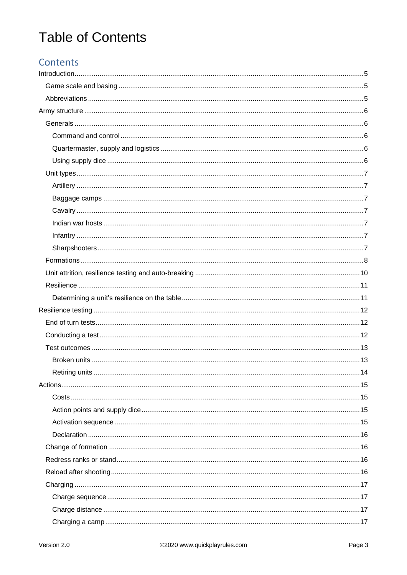# **Table of Contents**

### Contents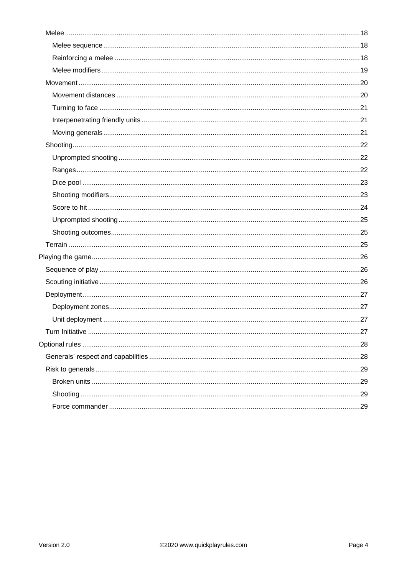| .27 |
|-----|
|     |
|     |
|     |
|     |
|     |
|     |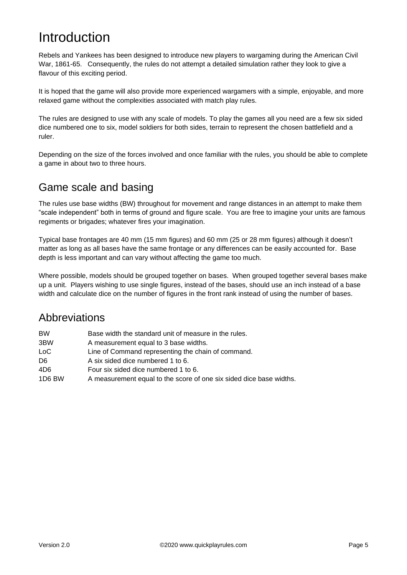# <span id="page-4-0"></span>Introduction

Rebels and Yankees has been designed to introduce new players to wargaming during the American Civil War, 1861-65. Consequently, the rules do not attempt a detailed simulation rather they look to give a flavour of this exciting period.

It is hoped that the game will also provide more experienced wargamers with a simple, enjoyable, and more relaxed game without the complexities associated with match play rules.

The rules are designed to use with any scale of models. To play the games all you need are a few six sided dice numbered one to six, model soldiers for both sides, terrain to represent the chosen battlefield and a ruler.

Depending on the size of the forces involved and once familiar with the rules, you should be able to complete a game in about two to three hours.

### <span id="page-4-1"></span>Game scale and basing

The rules use base widths (BW) throughout for movement and range distances in an attempt to make them "scale independent" both in terms of ground and figure scale. You are free to imagine your units are famous regiments or brigades; whatever fires your imagination.

Typical base frontages are 40 mm (15 mm figures) and 60 mm (25 or 28 mm figures) although it doesn't matter as long as all bases have the same frontage or any differences can be easily accounted for. Base depth is less important and can vary without affecting the game too much.

Where possible, models should be grouped together on bases. When grouped together several bases make up a unit. Players wishing to use single figures, instead of the bases, should use an inch instead of a base width and calculate dice on the number of figures in the front rank instead of using the number of bases.

### <span id="page-4-2"></span>Abbreviations

| <b>BW</b>       | Base width the standard unit of measure in the rules.               |
|-----------------|---------------------------------------------------------------------|
| 3BW             | A measurement equal to 3 base widths.                               |
| LoC             | Line of Command representing the chain of command.                  |
| D6              | A six sided dice numbered 1 to 6.                                   |
| 4D <sub>6</sub> | Four six sided dice numbered 1 to 6.                                |
| 1D6 BW          | A measurement equal to the score of one six sided dice base widths. |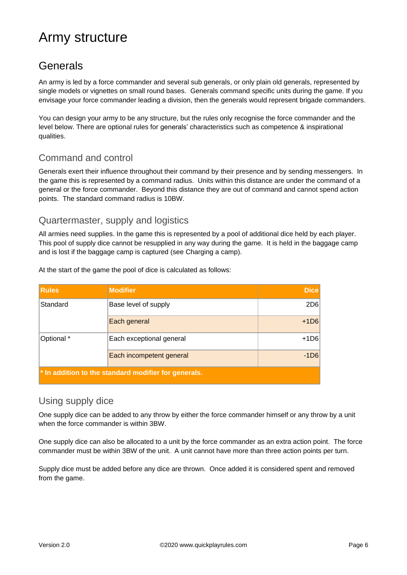# <span id="page-5-0"></span>Army structure

### <span id="page-5-1"></span>Generals

An army is led by a force commander and several sub generals, or only plain old generals, represented by single models or vignettes on small round bases. Generals command specific units during the game. If you envisage your force commander leading a division, then the generals would represent brigade commanders.

You can design your army to be any structure, but the rules only recognise the force commander and the level below. There are optional rules for generals' characteristics such as competence & inspirational qualities.

#### <span id="page-5-2"></span>Command and control

Generals exert their influence throughout their command by their presence and by sending messengers. In the game this is represented by a command radius. Units within this distance are under the command of a general or the force commander. Beyond this distance they are out of command and cannot spend action points. The standard command radius is 10BW.

#### <span id="page-5-3"></span>Quartermaster, supply and logistics

All armies need supplies. In the game this is represented by a pool of additional dice held by each player. This pool of supply dice cannot be resupplied in any way during the game. It is held in the baggage camp and is lost if the baggage camp is captured (see Charging a camp).

| <b>Rules</b> | <b>Modifier</b>                                                     | <b>Dice</b>     |
|--------------|---------------------------------------------------------------------|-----------------|
| Standard     | Base level of supply                                                | 2D <sub>6</sub> |
|              | Each general                                                        | $+1D6$          |
| Optional *   | Each exceptional general                                            | $+1D6$          |
|              | Each incompetent general                                            | $-1D6$          |
|              | $\mathbf{\cdot}$ in addition to the standard modifier for generals. |                 |

At the start of the game the pool of dice is calculated as follows:

#### <span id="page-5-4"></span>Using supply dice

One supply dice can be added to any throw by either the force commander himself or any throw by a unit when the force commander is within 3BW.

One supply dice can also be allocated to a unit by the force commander as an extra action point. The force commander must be within 3BW of the unit. A unit cannot have more than three action points per turn.

Supply dice must be added before any dice are thrown. Once added it is considered spent and removed from the game.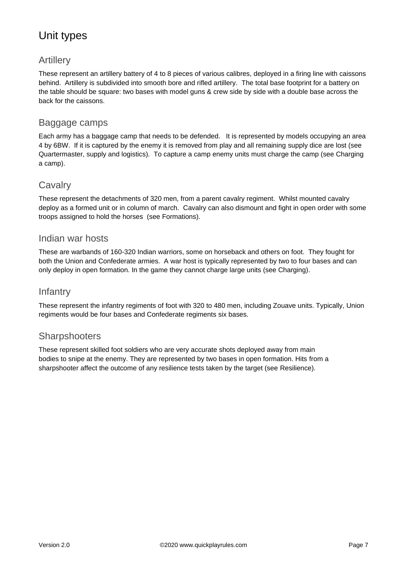### <span id="page-6-0"></span>Unit types

#### <span id="page-6-1"></span>Artillery

These represent an artillery battery of 4 to 8 pieces of various calibres, deployed in a firing line with caissons behind. Artillery is subdivided into smooth bore and rifled artillery. The total base footprint for a battery on the table should be square: two bases with model guns & crew side by side with a double base across the back for the caissons.

#### <span id="page-6-2"></span>Baggage camps

Each army has a baggage camp that needs to be defended. It is represented by models occupying an area 4 by 6BW. If it is captured by the enemy it is removed from play and all remaining supply dice are lost (see Quartermaster, supply and logistics). To capture a camp enemy units must charge the camp (see Charging a camp).

#### <span id="page-6-3"></span>**Cavalry**

These represent the detachments of 320 men, from a parent cavalry regiment. Whilst mounted cavalry deploy as a formed unit or in column of march. Cavalry can also dismount and fight in open order with some troops assigned to hold the horses (see Formations).

#### <span id="page-6-4"></span>Indian war hosts

These are warbands of 160-320 Indian warriors, some on horseback and others on foot. They fought for both the Union and Confederate armies. A war host is typically represented by two to four bases and can only deploy in open formation. In the game they cannot charge large units (see Charging).

#### <span id="page-6-5"></span>**Infantry**

These represent the infantry regiments of foot with 320 to 480 men, including Zouave units. Typically, Union regiments would be four bases and Confederate regiments six bases.

#### <span id="page-6-6"></span>**Sharpshooters**

These represent skilled foot soldiers who are very accurate shots deployed away from main bodies to snipe at the enemy. They are represented by two bases in open formation. Hits from a sharpshooter affect the outcome of any resilience tests taken by the target (see Resilience).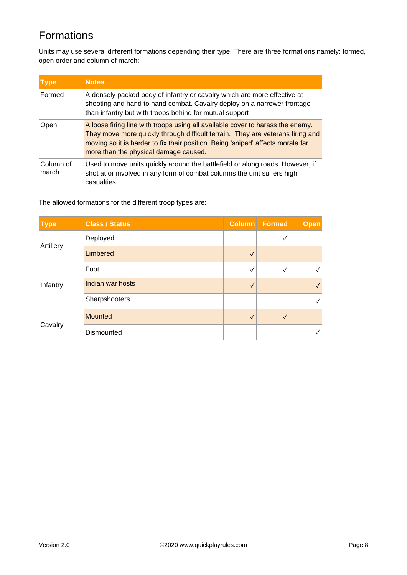### <span id="page-7-0"></span>Formations

Units may use several different formations depending their type. There are three formations namely: formed, open order and column of march:

| <b>Type</b>        | <b>Notes</b>                                                                                                                                                                                                                                                                                 |
|--------------------|----------------------------------------------------------------------------------------------------------------------------------------------------------------------------------------------------------------------------------------------------------------------------------------------|
| Formed             | A densely packed body of infantry or cavalry which are more effective at<br>shooting and hand to hand combat. Cavalry deploy on a narrower frontage<br>than infantry but with troops behind for mutual support                                                                               |
| Open               | A loose firing line with troops using all available cover to harass the enemy.<br>They move more quickly through difficult terrain. They are veterans firing and<br>moving so it is harder to fix their position. Being 'sniped' affects morale far<br>more than the physical damage caused. |
| Column of<br>march | Used to move units quickly around the battlefield or along roads. However, if<br>shot at or involved in any form of combat columns the unit suffers high<br>casualties.                                                                                                                      |

The allowed formations for the different troop types are:

| <b>Type</b> | <b>Class / Status</b> |              | Column Formed | <b>Open</b>       |
|-------------|-----------------------|--------------|---------------|-------------------|
|             | Deployed              |              |               |                   |
| Artillery   | Limbered              |              |               |                   |
| Infantry    | Foot                  | √            |               | $\sqrt{}$         |
|             | Indian war hosts      | √            |               | $\backslash\!\!/$ |
|             | Sharpshooters         |              |               | $\backslash\!/$   |
| Cavalry     | <b>Mounted</b>        | $\checkmark$ |               |                   |
|             | Dismounted            |              |               | ✓∣                |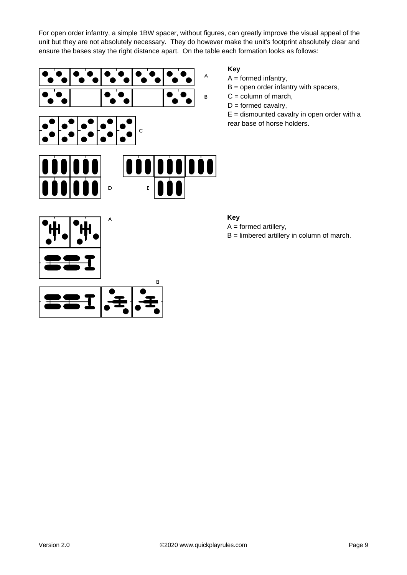For open order infantry, a simple 1BW spacer, without figures, can greatly improve the visual appeal of the unit but they are not absolutely necessary. They do however make the unit's footprint absolutely clear and ensure the bases stay the right distance apart. On the table each formation looks as follows:

10



**Key**

 $A = formed$  infantry,

 $B =$  open order infantry with spacers,

- $C = column of  $m$  of  $m$ ,$
- $D =$  formed cavalry,

 $E =$  dismounted cavalry in open order with a rear base of horse holders.



#### **Key**

- $A = formed$  artillery,
- B = limbered artillery in column of march.



 $\mathsf D$ 

E

B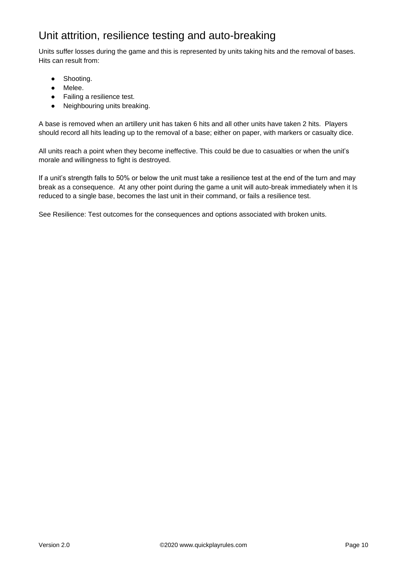### <span id="page-9-0"></span>Unit attrition, resilience testing and auto-breaking

Units suffer losses during the game and this is represented by units taking hits and the removal of bases. Hits can result from:

- Shooting.
- Melee.
- Failing a resilience test.
- Neighbouring units breaking.

A base is removed when an artillery unit has taken 6 hits and all other units have taken 2 hits. Players should record all hits leading up to the removal of a base; either on paper, with markers or casualty dice.

All units reach a point when they become ineffective. This could be due to casualties or when the unit's morale and willingness to fight is destroyed.

If a unit's strength falls to 50% or below the unit must take a resilience test at the end of the turn and may break as a consequence. At any other point during the game a unit will auto-break immediately when it Is reduced to a single base, becomes the last unit in their command, or fails a resilience test.

See Resilience: Test outcomes for the consequences and options associated with broken units.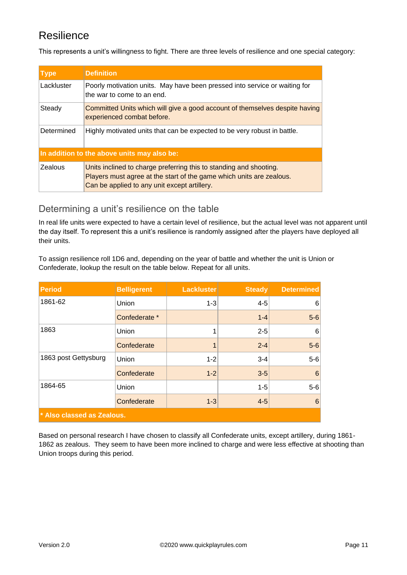### <span id="page-10-0"></span>Resilience

This represents a unit's willingness to fight. There are three levels of resilience and one special category:

| <b>Type</b>                                 | <b>Definition</b>                                                                                                                                                                          |  |  |
|---------------------------------------------|--------------------------------------------------------------------------------------------------------------------------------------------------------------------------------------------|--|--|
| Lackluster                                  | Poorly motivation units. May have been pressed into service or waiting for<br>the war to come to an end.                                                                                   |  |  |
| Steady                                      | Committed Units which will give a good account of themselves despite having<br>experienced combat before.                                                                                  |  |  |
| Determined                                  | Highly motivated units that can be expected to be very robust in battle.                                                                                                                   |  |  |
| In addition to the above units may also be: |                                                                                                                                                                                            |  |  |
| <b>Zealous</b>                              | Units inclined to charge preferring this to standing and shooting.<br>Players must agree at the start of the game which units are zealous.<br>Can be applied to any unit except artillery. |  |  |

#### <span id="page-10-1"></span>Determining a unit's resilience on the table

In real life units were expected to have a certain level of resilience, but the actual level was not apparent until the day itself. To represent this a unit's resilience is randomly assigned after the players have deployed all their units.

To assign resilience roll 1D6 and, depending on the year of battle and whether the unit is Union or Confederate, lookup the result on the table below. Repeat for all units.

| <b>Period</b>              | <b>Belligerent</b> | <b>Lackluster</b> | <b>Steady</b> | <b>Determined</b> |  |
|----------------------------|--------------------|-------------------|---------------|-------------------|--|
| 1861-62                    | Union              | $1 - 3$           | $4 - 5$       | 6                 |  |
|                            | Confederate *      |                   | $1 - 4$       | $5-6$             |  |
| 1863                       | Union              | 1                 | $2 - 5$       | 6                 |  |
|                            | Confederate        | 1                 | $2 - 4$       | $5-6$             |  |
| 1863 post Gettysburg       | Union              | $1 - 2$           | $3 - 4$       | $5-6$             |  |
|                            | Confederate        | $1 - 2$           | $3-5$         | 6                 |  |
| 1864-65                    | Union              |                   | $1 - 5$       | $5-6$             |  |
|                            | Confederate        | $1 - 3$           | $4 - 5$       | $6\phantom{1}6$   |  |
| * Also classed as Zealous. |                    |                   |               |                   |  |

Based on personal research I have chosen to classify all Confederate units, except artillery, during 1861- 1862 as zealous. They seem to have been more inclined to charge and were less effective at shooting than Union troops during this period.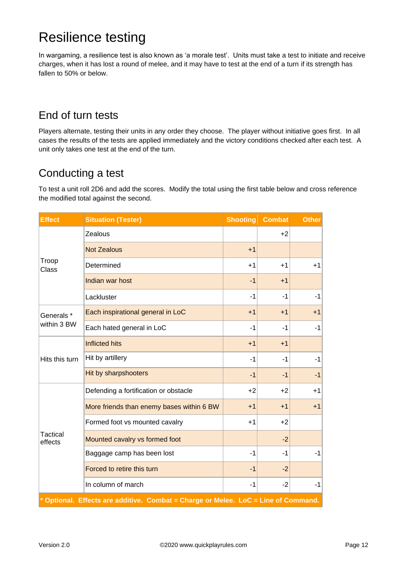# <span id="page-11-0"></span>Resilience testing

In wargaming, a resilience test is also known as 'a morale test'. Units must take a test to initiate and receive charges, when it has lost a round of melee, and it may have to test at the end of a turn if its strength has fallen to 50% or below.

### <span id="page-11-1"></span>End of turn tests

Players alternate, testing their units in any order they choose. The player without initiative goes first. In all cases the results of the tests are applied immediately and the victory conditions checked after each test. A unit only takes one test at the end of the turn.

### <span id="page-11-2"></span>Conducting a test

To test a unit roll 2D6 and add the scores. Modify the total using the first table below and cross reference the modified total against the second.

| <b>Effect</b>                                                                      | <b>Situation (Tester)</b>                 | <b>Shooting</b> | <b>Combat</b> | <b>Other</b> |  |
|------------------------------------------------------------------------------------|-------------------------------------------|-----------------|---------------|--------------|--|
|                                                                                    | Zealous                                   |                 | $+2$          |              |  |
|                                                                                    | <b>Not Zealous</b>                        | $+1$            |               |              |  |
| Troop<br>Class                                                                     | Determined                                | $+1$            | $+1$          | $+1$         |  |
|                                                                                    | Indian war host                           | $-1$            | $+1$          |              |  |
|                                                                                    | Lackluster                                | $-1$            | $-1$          | $-1$         |  |
| Generals*                                                                          | Each inspirational general in LoC         | $+1$            | $+1$          | $+1$         |  |
| within 3 BW                                                                        | Each hated general in LoC                 | $-1$            | $-1$          | $-1$         |  |
|                                                                                    | <b>Inflicted hits</b>                     | $+1$            | $+1$          |              |  |
| Hits this turn                                                                     | Hit by artillery                          | $-1$            | $-1$          | $-1$         |  |
|                                                                                    | Hit by sharpshooters                      | $-1$            | $-1$          | $-1$         |  |
|                                                                                    | Defending a fortification or obstacle     | $+2$            | $+2$          | $+1$         |  |
|                                                                                    | More friends than enemy bases within 6 BW | $+1$            | $+1$          | $+1$         |  |
|                                                                                    | Formed foot vs mounted cavalry            | $+1$            | $+2$          |              |  |
| <b>Tactical</b><br>effects                                                         | Mounted cavalry vs formed foot            |                 | $-2$          |              |  |
|                                                                                    | Baggage camp has been lost                | $-1$            | $-1$          | $-1$         |  |
|                                                                                    | Forced to retire this turn                | $-1$            | $-2$          |              |  |
|                                                                                    | In column of march                        | $-1$            | $-2$          | $-1$         |  |
| * Optional. Effects are additive. Combat = Charge or Melee. LoC = Line of Command. |                                           |                 |               |              |  |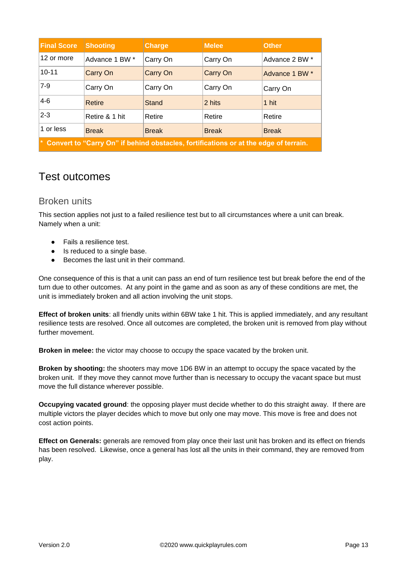| <b>Final Score</b>                                                                     | <b>Shooting</b> | <b>Charge</b> | <b>Melee</b> | <b>Other</b>   |
|----------------------------------------------------------------------------------------|-----------------|---------------|--------------|----------------|
| 12 or more                                                                             | Advance 1 BW *  | Carry On      | Carry On     | Advance 2 BW * |
| $10 - 11$                                                                              | Carry On        | Carry On      | Carry On     | Advance 1 BW * |
| $7-9$                                                                                  | Carry On        | Carry On      | Carry On     | Carry On       |
| $4-6$                                                                                  | Retire          | <b>Stand</b>  | 2 hits       | 1 hit          |
| $2-3$                                                                                  | Retire & 1 hit  | Retire        | Retire       | Retire         |
| 1 or less                                                                              | <b>Break</b>    | <b>Break</b>  | <b>Break</b> | <b>Break</b>   |
| * Convert to "Carry On" if behind obstacles, fortifications or at the edge of terrain. |                 |               |              |                |

### <span id="page-12-0"></span>Test outcomes

#### <span id="page-12-1"></span>Broken units

This section applies not just to a failed resilience test but to all circumstances where a unit can break. Namely when a unit:

- Fails a resilience test.
- Is reduced to a single base.
- Becomes the last unit in their command.

One consequence of this is that a unit can pass an end of turn resilience test but break before the end of the turn due to other outcomes. At any point in the game and as soon as any of these conditions are met, the unit is immediately broken and all action involving the unit stops.

**Effect of broken units**: all friendly units within 6BW take 1 hit. This is applied immediately, and any resultant resilience tests are resolved. Once all outcomes are completed, the broken unit is removed from play without further movement.

**Broken in melee:** the victor may choose to occupy the space vacated by the broken unit.

**Broken by shooting:** the shooters may move 1D6 BW in an attempt to occupy the space vacated by the broken unit. If they move they cannot move further than is necessary to occupy the vacant space but must move the full distance wherever possible.

**Occupying vacated ground**: the opposing player must decide whether to do this straight away. If there are multiple victors the player decides which to move but only one may move. This move is free and does not cost action points.

**Effect on Generals:** generals are removed from play once their last unit has broken and its effect on friends has been resolved. Likewise, once a general has lost all the units in their command, they are removed from play.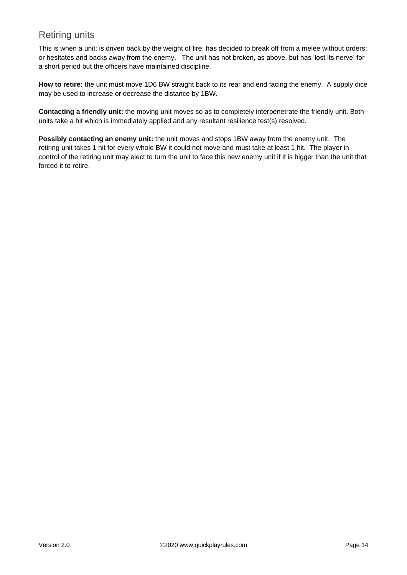#### <span id="page-13-0"></span>Retiring units

This is when a unit; is driven back by the weight of fire; has decided to break off from a melee without orders; or hesitates and backs away from the enemy. The unit has not broken, as above, but has 'lost its nerve' for a short period but the officers have maintained discipline.

**How to retire:** the unit must move 1D6 BW straight back to its rear and end facing the enemy. A supply dice may be used to increase or decrease the distance by 1BW.

**Contacting a friendly unit:** the moving unit moves so as to completely interpenetrate the friendly unit. Both units take a hit which is immediately applied and any resultant resilience test(s) resolved.

**Possibly contacting an enemy unit:** the unit moves and stops 1BW away from the enemy unit. The retiring unit takes 1 hit for every whole BW it could not move and must take at least 1 hit. The player in control of the retiring unit may elect to turn the unit to face this new enemy unit if it is bigger than the unit that forced it to retire.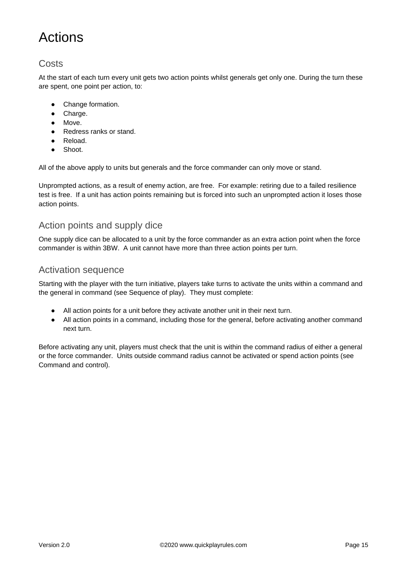# <span id="page-14-0"></span>Actions

#### <span id="page-14-1"></span>**Costs**

At the start of each turn every unit gets two action points whilst generals get only one. During the turn these are spent, one point per action, to:

- Change formation.
- Charge.
- Move.
- Redress ranks or stand.
- Reload.
- Shoot.

All of the above apply to units but generals and the force commander can only move or stand.

Unprompted actions, as a result of enemy action, are free. For example: retiring due to a failed resilience test is free. If a unit has action points remaining but is forced into such an unprompted action it loses those action points.

#### <span id="page-14-2"></span>Action points and supply dice

One supply dice can be allocated to a unit by the force commander as an extra action point when the force commander is within 3BW. A unit cannot have more than three action points per turn.

#### <span id="page-14-3"></span>Activation sequence

Starting with the player with the turn initiative, players take turns to activate the units within a command and the general in command (see Sequence of play). They must complete:

- All action points for a unit before they activate another unit in their next turn.
- All action points in a command, including those for the general, before activating another command next turn.

Before activating any unit, players must check that the unit is within the command radius of either a general or the force commander. Units outside command radius cannot be activated or spend action points (see Command and control).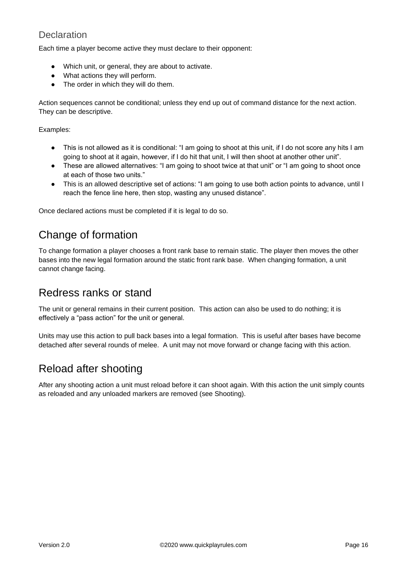#### <span id="page-15-0"></span>**Declaration**

Each time a player become active they must declare to their opponent:

- Which unit, or general, they are about to activate.
- What actions they will perform.
- The order in which they will do them.

Action sequences cannot be conditional; unless they end up out of command distance for the next action. They can be descriptive.

Examples:

- This is not allowed as it is conditional: "I am going to shoot at this unit, if I do not score any hits I am going to shoot at it again, however, if I do hit that unit, I will then shoot at another other unit".
- These are allowed alternatives: "I am going to shoot twice at that unit" or "I am going to shoot once at each of those two units."
- This is an allowed descriptive set of actions: "I am going to use both action points to advance, until I reach the fence line here, then stop, wasting any unused distance".

<span id="page-15-1"></span>Once declared actions must be completed if it is legal to do so.

### Change of formation

To change formation a player chooses a front rank base to remain static. The player then moves the other bases into the new legal formation around the static front rank base. When changing formation, a unit cannot change facing.

### <span id="page-15-2"></span>Redress ranks or stand

The unit or general remains in their current position. This action can also be used to do nothing; it is effectively a "pass action" for the unit or general.

Units may use this action to pull back bases into a legal formation. This is useful after bases have become detached after several rounds of melee. A unit may not move forward or change facing with this action.

### <span id="page-15-3"></span>Reload after shooting

After any shooting action a unit must reload before it can shoot again. With this action the unit simply counts as reloaded and any unloaded markers are removed (see Shooting).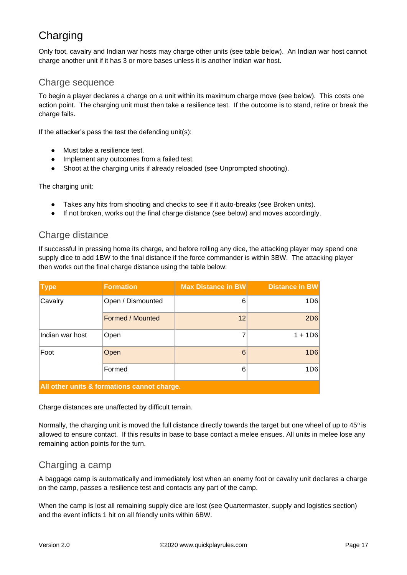### <span id="page-16-0"></span>**Charging**

Only foot, cavalry and Indian war hosts may charge other units (see table below). An Indian war host cannot charge another unit if it has 3 or more bases unless it is another Indian war host.

#### <span id="page-16-1"></span>Charge sequence

To begin a player declares a charge on a unit within its maximum charge move (see below). This costs one action point. The charging unit must then take a resilience test. If the outcome is to stand, retire or break the charge fails.

If the attacker's pass the test the defending unit(s):

- Must take a resilience test.
- Implement any outcomes from a failed test.
- Shoot at the charging units if already reloaded (see Unprompted shooting).

The charging unit:

- Takes any hits from shooting and checks to see if it auto-breaks (see Broken units).
- If not broken, works out the final charge distance (see below) and moves accordingly.

#### <span id="page-16-2"></span>Charge distance

If successful in pressing home its charge, and before rolling any dice, the attacking player may spend one supply dice to add 1BW to the final distance if the force commander is within 3BW. The attacking player then works out the final charge distance using the table below:

| <b>Type</b>                                 | <b>Formation</b>        | <b>Max Distance in BW</b> | Distance in BW |  |
|---------------------------------------------|-------------------------|---------------------------|----------------|--|
| Cavalry                                     | Open / Dismounted       | 6                         | 1D6            |  |
|                                             | <b>Formed / Mounted</b> | 12                        | 2D6            |  |
| Indian war host                             | Open                    |                           | $1 + 1D6$      |  |
| Foot                                        | Open                    | 6                         | 1D6            |  |
|                                             | Formed                  | 6                         | 1D6            |  |
| All other units & formations cannot charge. |                         |                           |                |  |

Charge distances are unaffected by difficult terrain.

Normally, the charging unit is moved the full distance directly towards the target but one wheel of up to 45° is allowed to ensure contact. If this results in base to base contact a melee ensues. All units in melee lose any remaining action points for the turn.

#### <span id="page-16-3"></span>Charging a camp

A baggage camp is automatically and immediately lost when an enemy foot or cavalry unit declares a charge on the camp, passes a resilience test and contacts any part of the camp.

When the camp is lost all remaining supply dice are lost (see Quartermaster, supply and logistics section) and the event inflicts 1 hit on all friendly units within 6BW.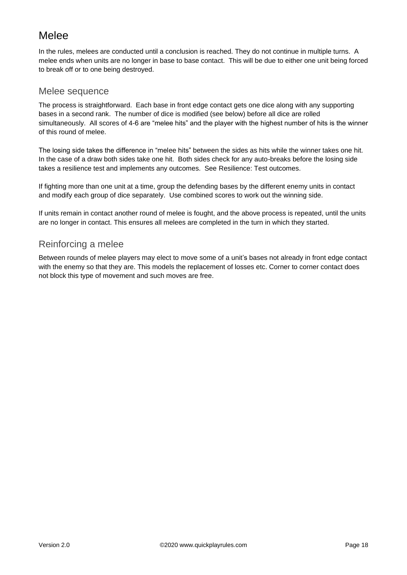### <span id="page-17-0"></span>**Melee**

In the rules, melees are conducted until a conclusion is reached. They do not continue in multiple turns. A melee ends when units are no longer in base to base contact. This will be due to either one unit being forced to break off or to one being destroyed.

#### <span id="page-17-1"></span>Melee sequence

The process is straightforward. Each base in front edge contact gets one dice along with any supporting bases in a second rank. The number of dice is modified (see below) before all dice are rolled simultaneously. All scores of 4-6 are "melee hits" and the player with the highest number of hits is the winner of this round of melee.

The losing side takes the difference in "melee hits" between the sides as hits while the winner takes one hit. In the case of a draw both sides take one hit. Both sides check for any auto-breaks before the losing side takes a resilience test and implements any outcomes. See Resilience: Test outcomes.

If fighting more than one unit at a time, group the defending bases by the different enemy units in contact and modify each group of dice separately. Use combined scores to work out the winning side.

If units remain in contact another round of melee is fought, and the above process is repeated, until the units are no longer in contact. This ensures all melees are completed in the turn in which they started.

#### <span id="page-17-2"></span>Reinforcing a melee

Between rounds of melee players may elect to move some of a unit's bases not already in front edge contact with the enemy so that they are. This models the replacement of losses etc. Corner to corner contact does not block this type of movement and such moves are free.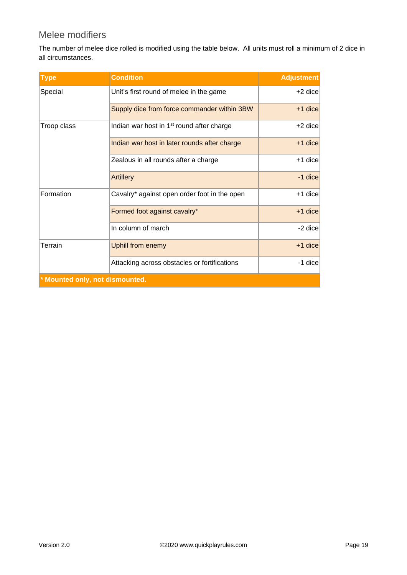#### <span id="page-18-0"></span>Melee modifiers

The number of melee dice rolled is modified using the table below. All units must roll a minimum of 2 dice in all circumstances.

| <b>Type</b>                     | <b>Condition</b>                                      | <b>Adjustment</b> |  |  |
|---------------------------------|-------------------------------------------------------|-------------------|--|--|
| Special                         | Unit's first round of melee in the game               | +2 dice           |  |  |
|                                 | Supply dice from force commander within 3BW           | +1 dice           |  |  |
| Troop class                     | Indian war host in 1 <sup>st</sup> round after charge | $+2$ dice         |  |  |
|                                 | Indian war host in later rounds after charge          | $+1$ dice         |  |  |
|                                 | Zealous in all rounds after a charge                  | $+1$ dice         |  |  |
|                                 | <b>Artillery</b>                                      | -1 dice           |  |  |
| Formation                       | Cavalry* against open order foot in the open          | $+1$ dice         |  |  |
|                                 | Formed foot against cavalry*                          | $+1$ dice         |  |  |
|                                 | In column of march                                    | -2 dice           |  |  |
| Terrain                         | <b>Uphill from enemy</b>                              | $+1$ dice         |  |  |
|                                 | Attacking across obstacles or fortifications          | -1 dice           |  |  |
| * Mounted only, not dismounted. |                                                       |                   |  |  |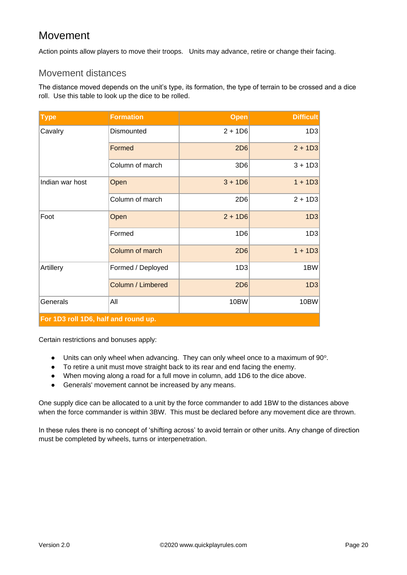### <span id="page-19-0"></span>Movement

<span id="page-19-1"></span>Action points allow players to move their troops. Units may advance, retire or change their facing.

#### Movement distances

The distance moved depends on the unit's type, its formation, the type of terrain to be crossed and a dice roll. Use this table to look up the dice to be rolled.

| <b>Type</b>                          | <b>Formation</b>  | <b>Open</b>     | <b>Difficult</b> |
|--------------------------------------|-------------------|-----------------|------------------|
| Cavalry                              | Dismounted        | $2 + 1D6$       | 1D3              |
|                                      | Formed            | <b>2D6</b>      | $2 + 1D3$        |
|                                      | Column of march   | 3D <sub>6</sub> | $3 + 1D3$        |
| Indian war host                      | Open              | $3 + 1D6$       | $1 + 1D3$        |
|                                      | Column of march   | 2D <sub>6</sub> | $2 + 1D3$        |
| Foot                                 | Open              | $2 + 1D6$       | 1D3              |
|                                      | Formed            | 1D <sub>6</sub> | 1D3              |
|                                      | Column of march   | 2D6             | $1 + 1D3$        |
| Artillery                            | Formed / Deployed | 1D <sub>3</sub> | 1BW              |
|                                      | Column / Limbered | 2D6             | 1D3              |
| Generals                             | All               | 10BW            | 10BW             |
| For 1D3 roll 1D6, half and round up. |                   |                 |                  |

Certain restrictions and bonuses apply:

- $\bullet$  Units can only wheel when advancing. They can only wheel once to a maximum of 90 $^{\circ}$ .
- To retire a unit must move straight back to its rear and end facing the enemy.
- When moving along a road for a full move in column, add 1D6 to the dice above.
- Generals' movement cannot be increased by any means.

One supply dice can be allocated to a unit by the force commander to add 1BW to the distances above when the force commander is within 3BW. This must be declared before any movement dice are thrown.

In these rules there is no concept of 'shifting across' to avoid terrain or other units. Any change of direction must be completed by wheels, turns or interpenetration.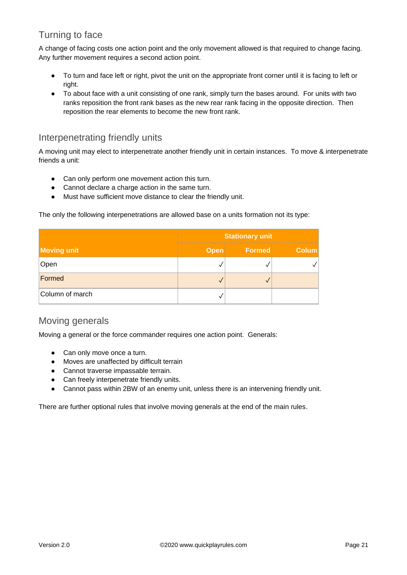### <span id="page-20-0"></span>Turning to face

A change of facing costs one action point and the only movement allowed is that required to change facing. Any further movement requires a second action point.

- To turn and face left or right, pivot the unit on the appropriate front corner until it is facing to left or right.
- To about face with a unit consisting of one rank, simply turn the bases around. For units with two ranks reposition the front rank bases as the new rear rank facing in the opposite direction. Then reposition the rear elements to become the new front rank.

#### <span id="page-20-1"></span>Interpenetrating friendly units

A moving unit may elect to interpenetrate another friendly unit in certain instances. To move & interpenetrate friends a unit:

- Can only perform one movement action this turn.
- Cannot declare a charge action in the same turn.
- Must have sufficient move distance to clear the friendly unit.

The only the following interpenetrations are allowed base on a units formation not its type:

|                    | <b>Stationary unit</b> |        |              |
|--------------------|------------------------|--------|--------------|
| <b>Moving unit</b> | <b>Open</b>            | Formed | <b>Colum</b> |
| Open               |                        |        |              |
| Formed             |                        |        |              |
| Column of march    |                        |        |              |

#### <span id="page-20-2"></span>Moving generals

Moving a general or the force commander requires one action point. Generals:

- Can only move once a turn.
- Moves are unaffected by difficult terrain
- Cannot traverse impassable terrain.
- Can freely interpenetrate friendly units.
- Cannot pass within 2BW of an enemy unit, unless there is an intervening friendly unit.

There are further optional rules that involve moving generals at the end of the main rules.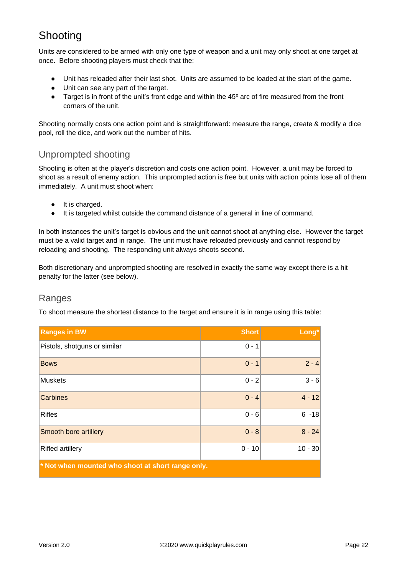### <span id="page-21-0"></span>Shooting

Units are considered to be armed with only one type of weapon and a unit may only shoot at one target at once. Before shooting players must check that the:

- Unit has reloaded after their last shot. Units are assumed to be loaded at the start of the game.
- Unit can see any part of the target.
- Target is in front of the unit's front edge and within the 45° arc of fire measured from the front corners of the unit.

Shooting normally costs one action point and is straightforward: measure the range, create & modify a dice pool, roll the dice, and work out the number of hits.

#### <span id="page-21-1"></span>Unprompted shooting

Shooting is often at the player's discretion and costs one action point. However, a unit may be forced to shoot as a result of enemy action. This unprompted action is free but units with action points lose all of them immediately. A unit must shoot when:

- It is charged.
- It is targeted whilst outside the command distance of a general in line of command.

In both instances the unit's target is obvious and the unit cannot shoot at anything else. However the target must be a valid target and in range. The unit must have reloaded previously and cannot respond by reloading and shooting. The responding unit always shoots second.

Both discretionary and unprompted shooting are resolved in exactly the same way except there is a hit penalty for the latter (see below).

#### <span id="page-21-2"></span>Ranges

To shoot measure the shortest distance to the target and ensure it is in range using this table:

| <b>Ranges in BW</b>                                 | <b>Short</b> | Long*     |
|-----------------------------------------------------|--------------|-----------|
| Pistols, shotguns or similar                        | $0 - 1$      |           |
| <b>Bows</b>                                         | $0 - 1$      | $2 - 4$   |
| <b>Muskets</b>                                      | $0 - 2$      | $3 - 6$   |
| <b>Carbines</b>                                     | $0 - 4$      | $4 - 12$  |
| <b>Rifles</b>                                       | $0 - 6$      | $6 - 18$  |
| Smooth bore artillery                               | $0 - 8$      | $8 - 24$  |
| <b>Rifled artillery</b>                             | $0 - 10$     | $10 - 30$ |
| $*$ Not when mounted who shoot at short range only. |              |           |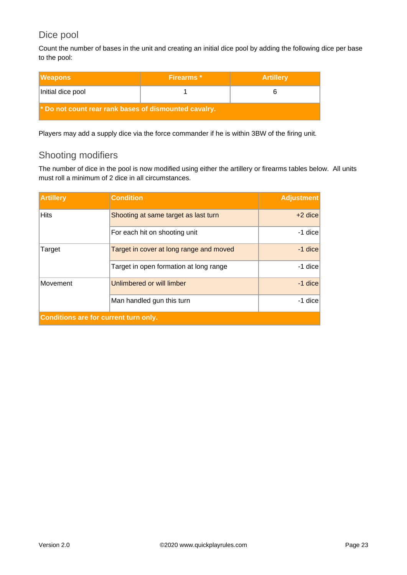#### <span id="page-22-0"></span>Dice pool

Count the number of bases in the unit and creating an initial dice pool by adding the following dice per base to the pool:

| <b>IWeapons</b>                                         | Firearms <sup>*</sup> | <b>Artillery</b> |  |  |
|---------------------------------------------------------|-----------------------|------------------|--|--|
| Initial dice pool                                       |                       |                  |  |  |
| the Do not count rear rank bases of dismounted cavalry. |                       |                  |  |  |

<span id="page-22-1"></span>Players may add a supply dice via the force commander if he is within 3BW of the firing unit.

#### Shooting modifiers

The number of dice in the pool is now modified using either the artillery or firearms tables below. All units must roll a minimum of 2 dice in all circumstances.

| <b>Artillery</b>                             | <b>Condition</b>                        | <b>Adjustment</b> |
|----------------------------------------------|-----------------------------------------|-------------------|
| <b>Hits</b>                                  | Shooting at same target as last turn    | $+2$ dice         |
|                                              | For each hit on shooting unit           | -1 dice           |
| Target                                       | Target in cover at long range and moved | $-1$ dice         |
|                                              | Target in open formation at long range  | -1 dice           |
| Movement                                     | Unlimbered or will limber               | $-1$ dice         |
|                                              | Man handled gun this turn               | -1 dice           |
| <b>Conditions are for current turn only.</b> |                                         |                   |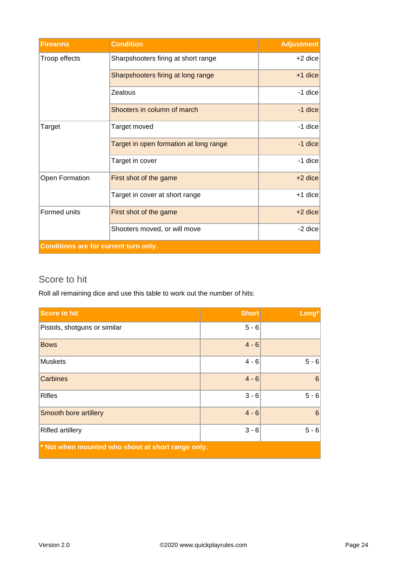| <b>Firearms</b>                              | <b>Condition</b>                       | <b>Adjustment</b> |
|----------------------------------------------|----------------------------------------|-------------------|
| Troop effects                                | Sharpshooters firing at short range    | $+2$ dice         |
|                                              | Sharpshooters firing at long range     | $+1$ dice         |
|                                              | Zealous                                | $-1$ dice         |
|                                              | Shooters in column of march            | $-1$ dice         |
| Target                                       | Target moved                           | $-1$ dice         |
|                                              | Target in open formation at long range | $-1$ dice         |
|                                              | Target in cover                        | $-1$ dice         |
| Open Formation                               | First shot of the game                 | $+2$ dice         |
|                                              | Target in cover at short range         | $+1$ dice         |
| Formed units                                 | First shot of the game                 | +2 dice           |
|                                              | Shooters moved, or will move           | $-2$ dice         |
| <b>Conditions are for current turn only.</b> |                                        |                   |

#### <span id="page-23-0"></span>Score to hit

Roll all remaining dice and use this table to work out the number of hits:

| Score to hit                                      | <b>Short</b> | Long*          |
|---------------------------------------------------|--------------|----------------|
| Pistols, shotguns or similar                      | $5 - 6$      |                |
| <b>Bows</b>                                       | $4 - 6$      |                |
| <b>Muskets</b>                                    | $4 - 6$      | $5 - 6$        |
| <b>Carbines</b>                                   | $4 - 6$      | $6\phantom{1}$ |
| <b>Rifles</b>                                     | $3 - 6$      | $5 - 6$        |
| Smooth bore artillery                             | $4 - 6$      | $6\phantom{1}$ |
| <b>Rifled artillery</b>                           | $3 - 6$      | $5 - 6$        |
| * Not when mounted who shoot at short range only. |              |                |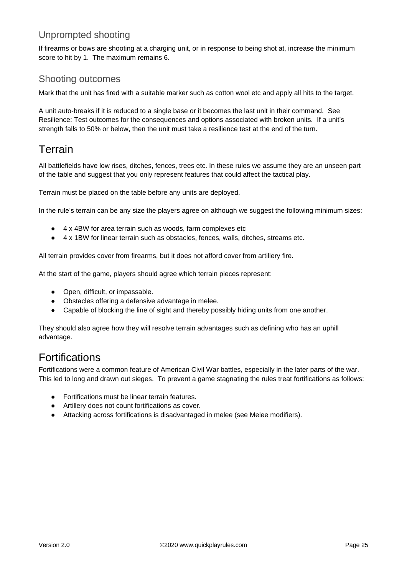#### <span id="page-24-0"></span>Unprompted shooting

If firearms or bows are shooting at a charging unit, or in response to being shot at, increase the minimum score to hit by 1. The maximum remains 6.

#### <span id="page-24-1"></span>Shooting outcomes

Mark that the unit has fired with a suitable marker such as cotton wool etc and apply all hits to the target.

A unit auto-breaks if it is reduced to a single base or it becomes the last unit in their command. See Resilience: Test outcomes for the consequences and options associated with broken units. If a unit's strength falls to 50% or below, then the unit must take a resilience test at the end of the turn.

### <span id="page-24-2"></span>Terrain

All battlefields have low rises, ditches, fences, trees etc. In these rules we assume they are an unseen part of the table and suggest that you only represent features that could affect the tactical play.

Terrain must be placed on the table before any units are deployed.

In the rule's terrain can be any size the players agree on although we suggest the following minimum sizes:

- 4 x 4BW for area terrain such as woods, farm complexes etc
- 4 x 1BW for linear terrain such as obstacles, fences, walls, ditches, streams etc.

All terrain provides cover from firearms, but it does not afford cover from artillery fire.

At the start of the game, players should agree which terrain pieces represent:

- Open, difficult, or impassable.
- Obstacles offering a defensive advantage in melee.
- Capable of blocking the line of sight and thereby possibly hiding units from one another.

They should also agree how they will resolve terrain advantages such as defining who has an uphill advantage.

### Fortifications

Fortifications were a common feature of American Civil War battles, especially in the later parts of the war. This led to long and drawn out sieges. To prevent a game stagnating the rules treat fortifications as follows:

- Fortifications must be linear terrain features.
- Artillery does not count fortifications as cover.
- Attacking across fortifications is disadvantaged in melee (see Melee modifiers).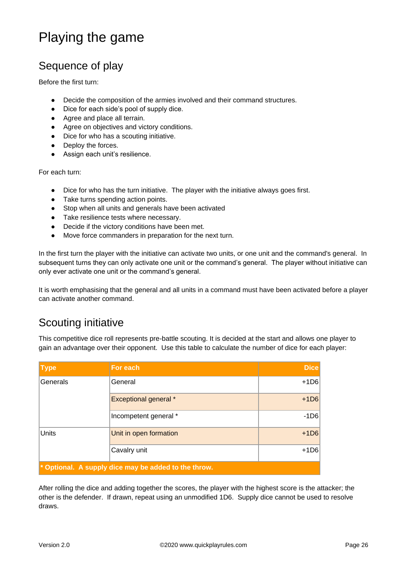# <span id="page-25-0"></span>Playing the game

### <span id="page-25-1"></span>Sequence of play

Before the first turn:

- Decide the composition of the armies involved and their command structures.
- Dice for each side's pool of supply dice.
- Agree and place all terrain.
- Agree on objectives and victory conditions.
- Dice for who has a scouting initiative.
- Deploy the forces.
- Assign each unit's resilience.

For each turn:

- Dice for who has the turn initiative. The player with the initiative always goes first.
- Take turns spending action points.
- Stop when all units and generals have been activated
- Take resilience tests where necessary.
- Decide if the victory conditions have been met.
- Move force commanders in preparation for the next turn.

In the first turn the player with the initiative can activate two units, or one unit and the command's general. In subsequent turns they can only activate one unit or the command's general. The player without initiative can only ever activate one unit or the command's general.

It is worth emphasising that the general and all units in a command must have been activated before a player can activate another command.

### <span id="page-25-2"></span>Scouting initiative

This competitive dice roll represents pre-battle scouting. It is decided at the start and allows one player to gain an advantage over their opponent. Use this table to calculate the number of dice for each player:

| <b>Type</b>                                                           | For each                     | <b>Dice</b> |
|-----------------------------------------------------------------------|------------------------------|-------------|
| Generals                                                              | General                      | $+1D6$      |
|                                                                       | <b>Exceptional general *</b> | $+1D6$      |
|                                                                       | Incompetent general *        | $-1D6$      |
| <b>Units</b>                                                          | Unit in open formation       | $+1D6$      |
|                                                                       | Cavalry unit                 | $+1D6$      |
| $\mathbf{\hat{z}}$ Optional. A supply dice may be added to the throw. |                              |             |

After rolling the dice and adding together the scores, the player with the highest score is the attacker; the other is the defender. If drawn, repeat using an unmodified 1D6. Supply dice cannot be used to resolve draws.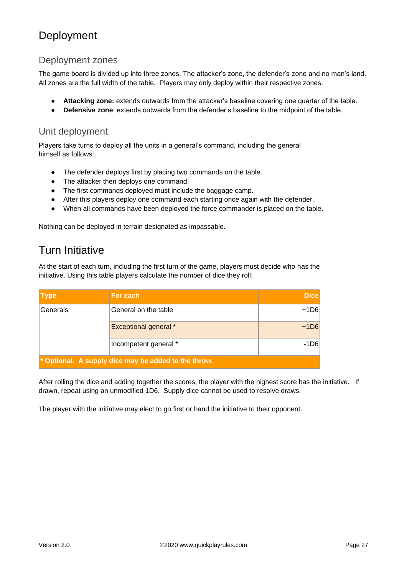### <span id="page-26-0"></span>Deployment

#### <span id="page-26-1"></span>Deployment zones

The game board is divided up into three zones. The attacker's zone, the defender's zone and no man's land. All zones are the full width of the table. Players may only deploy within their respective zones.

- **Attacking zone:** extends outwards from the attacker's baseline covering one quarter of the table.
- **Defensive zone**: extends outwards from the defender's baseline to the midpoint of the table.

#### <span id="page-26-2"></span>Unit deployment

Players take turns to deploy all the units in a general's command, including the general himself as follows:

- The defender deploys first by placing two commands on the table.
- The attacker then deploys one command.
- The first commands deployed must include the baggage camp.
- After this players deploy one command each starting once again with the defender.
- When all commands have been deployed the force commander is placed on the table.

<span id="page-26-3"></span>Nothing can be deployed in terrain designated as impassable.

### Turn Initiative

At the start of each turn, including the first turn of the game, players must decide who has the initiative. Using this table players calculate the number of dice they roll:

| <b>Type</b>                                                            | For each                     | <b>Dice</b> |
|------------------------------------------------------------------------|------------------------------|-------------|
| Generals                                                               | General on the table         | $+1D6$      |
|                                                                        | <b>Exceptional general *</b> | $+1D6$      |
|                                                                        | Incompetent general *        | -1D6        |
| $\mathbf{\rvert}^*$ Optional. A supply dice may be added to the throw. |                              |             |

After rolling the dice and adding together the scores, the player with the highest score has the initiative. If drawn, repeat using an unmodified 1D6. Supply dice cannot be used to resolve draws.

The player with the initiative may elect to go first or hand the initiative to their opponent.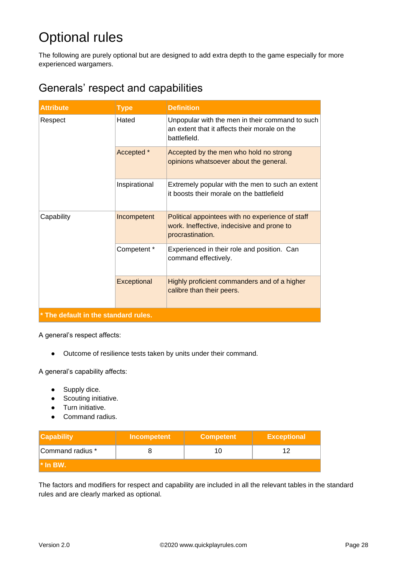# <span id="page-27-0"></span>Optional rules

The following are purely optional but are designed to add extra depth to the game especially for more experienced wargamers.

### <span id="page-27-1"></span>Generals' respect and capabilities

| <b>Attribute</b>                     | <b>Type</b>   | <b>Definition</b>                                                                                                  |
|--------------------------------------|---------------|--------------------------------------------------------------------------------------------------------------------|
| Respect                              | Hated         | Unpopular with the men in their command to such<br>an extent that it affects their morale on the<br>battlefield.   |
|                                      | Accepted *    | Accepted by the men who hold no strong<br>opinions whatsoever about the general.                                   |
|                                      | Inspirational | Extremely popular with the men to such an extent<br>it boosts their morale on the battlefield                      |
| Capability                           | Incompetent   | Political appointees with no experience of staff<br>work. Ineffective, indecisive and prone to<br>procrastination. |
|                                      | Competent *   | Experienced in their role and position. Can<br>command effectively.                                                |
|                                      | Exceptional   | Highly proficient commanders and of a higher<br>calibre than their peers.                                          |
| * The default in the standard rules. |               |                                                                                                                    |

A general's respect affects:

● Outcome of resilience tests taken by units under their command.

A general's capability affects:

- Supply dice.
- Scouting initiative.
- Turn initiative.
- Command radius.

| <b>Capability</b> | Incompetent | <b>Competent</b> | <b>Exceptional</b> |
|-------------------|-------------|------------------|--------------------|
| Command radius *  |             |                  |                    |
| l* In BW.         |             |                  |                    |

The factors and modifiers for respect and capability are included in all the relevant tables in the standard rules and are clearly marked as optional.